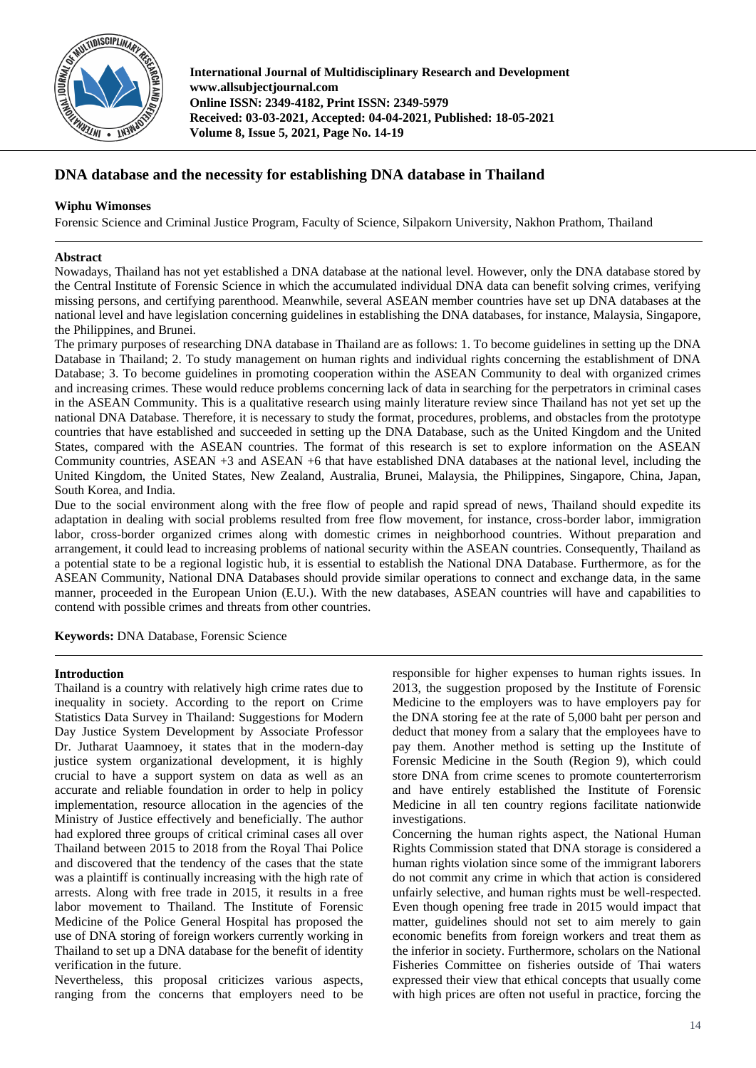

**International Journal of Multidisciplinary Research and Development www.allsubjectjournal.com Online ISSN: 2349-4182, Print ISSN: 2349-5979 Received: 03-03-2021, Accepted: 04-04-2021, Published: 18-05-2021 Volume 8, Issue 5, 2021, Page No. 14-19**

# **DNA database and the necessity for establishing DNA database in Thailand**

## **Wiphu Wimonses**

Forensic Science and Criminal Justice Program, Faculty of Science, Silpakorn University, Nakhon Prathom, Thailand

## **Abstract**

Nowadays, Thailand has not yet established a DNA database at the national level. However, only the DNA database stored by the Central Institute of Forensic Science in which the accumulated individual DNA data can benefit solving crimes, verifying missing persons, and certifying parenthood. Meanwhile, several ASEAN member countries have set up DNA databases at the national level and have legislation concerning guidelines in establishing the DNA databases, for instance, Malaysia, Singapore, the Philippines, and Brunei.

The primary purposes of researching DNA database in Thailand are as follows: 1. To become guidelines in setting up the DNA Database in Thailand; 2. To study management on human rights and individual rights concerning the establishment of DNA Database; 3. To become guidelines in promoting cooperation within the ASEAN Community to deal with organized crimes and increasing crimes. These would reduce problems concerning lack of data in searching for the perpetrators in criminal cases in the ASEAN Community. This is a qualitative research using mainly literature review since Thailand has not yet set up the national DNA Database. Therefore, it is necessary to study the format, procedures, problems, and obstacles from the prototype countries that have established and succeeded in setting up the DNA Database, such as the United Kingdom and the United States, compared with the ASEAN countries. The format of this research is set to explore information on the ASEAN Community countries, ASEAN +3 and ASEAN +6 that have established DNA databases at the national level, including the United Kingdom, the United States, New Zealand, Australia, Brunei, Malaysia, the Philippines, Singapore, China, Japan, South Korea, and India.

Due to the social environment along with the free flow of people and rapid spread of news, Thailand should expedite its adaptation in dealing with social problems resulted from free flow movement, for instance, cross-border labor, immigration labor, cross-border organized crimes along with domestic crimes in neighborhood countries. Without preparation and arrangement, it could lead to increasing problems of national security within the ASEAN countries. Consequently, Thailand as a potential state to be a regional logistic hub, it is essential to establish the National DNA Database. Furthermore, as for the ASEAN Community, National DNA Databases should provide similar operations to connect and exchange data, in the same manner, proceeded in the European Union (E.U.). With the new databases, ASEAN countries will have and capabilities to contend with possible crimes and threats from other countries.

**Keywords:** DNA Database, Forensic Science

#### **Introduction**

Thailand is a country with relatively high crime rates due to inequality in society. According to the report on Crime Statistics Data Survey in Thailand: Suggestions for Modern Day Justice System Development by Associate Professor Dr. Jutharat Uaamnoey, it states that in the modern-day justice system organizational development, it is highly crucial to have a support system on data as well as an accurate and reliable foundation in order to help in policy implementation, resource allocation in the agencies of the Ministry of Justice effectively and beneficially. The author had explored three groups of critical criminal cases all over Thailand between 2015 to 2018 from the Royal Thai Police and discovered that the tendency of the cases that the state was a plaintiff is continually increasing with the high rate of arrests. Along with free trade in 2015, it results in a free labor movement to Thailand. The Institute of Forensic Medicine of the Police General Hospital has proposed the use of DNA storing of foreign workers currently working in Thailand to set up a DNA database for the benefit of identity verification in the future.

Nevertheless, this proposal criticizes various aspects, ranging from the concerns that employers need to be responsible for higher expenses to human rights issues. In 2013, the suggestion proposed by the Institute of Forensic Medicine to the employers was to have employers pay for the DNA storing fee at the rate of 5,000 baht per person and deduct that money from a salary that the employees have to pay them. Another method is setting up the Institute of Forensic Medicine in the South (Region 9), which could store DNA from crime scenes to promote counterterrorism and have entirely established the Institute of Forensic Medicine in all ten country regions facilitate nationwide investigations.

Concerning the human rights aspect, the National Human Rights Commission stated that DNA storage is considered a human rights violation since some of the immigrant laborers do not commit any crime in which that action is considered unfairly selective, and human rights must be well-respected. Even though opening free trade in 2015 would impact that matter, guidelines should not set to aim merely to gain economic benefits from foreign workers and treat them as the inferior in society. Furthermore, scholars on the National Fisheries Committee on fisheries outside of Thai waters expressed their view that ethical concepts that usually come with high prices are often not useful in practice, forcing the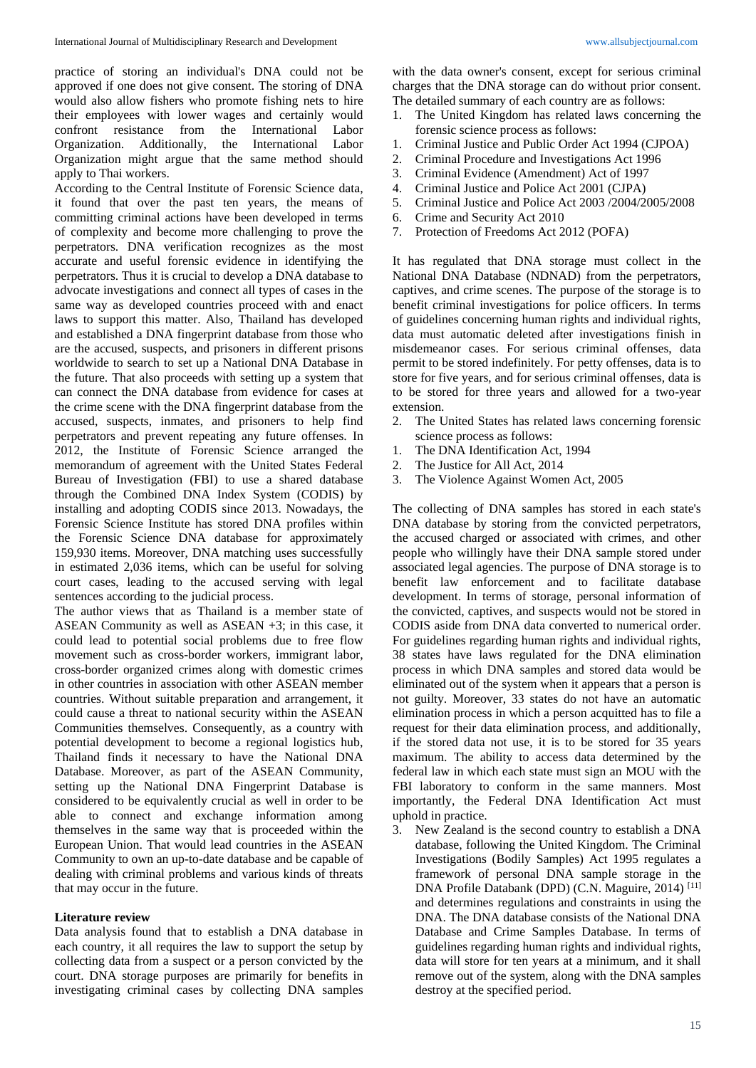practice of storing an individual's DNA could not be approved if one does not give consent. The storing of DNA would also allow fishers who promote fishing nets to hire their employees with lower wages and certainly would confront resistance from the International Labor Organization. Additionally, the International Labor Organization might argue that the same method should apply to Thai workers.

According to the Central Institute of Forensic Science data, it found that over the past ten years, the means of committing criminal actions have been developed in terms of complexity and become more challenging to prove the perpetrators. DNA verification recognizes as the most accurate and useful forensic evidence in identifying the perpetrators. Thus it is crucial to develop a DNA database to advocate investigations and connect all types of cases in the same way as developed countries proceed with and enact laws to support this matter. Also, Thailand has developed and established a DNA fingerprint database from those who are the accused, suspects, and prisoners in different prisons worldwide to search to set up a National DNA Database in the future. That also proceeds with setting up a system that can connect the DNA database from evidence for cases at the crime scene with the DNA fingerprint database from the accused, suspects, inmates, and prisoners to help find perpetrators and prevent repeating any future offenses. In 2012, the Institute of Forensic Science arranged the memorandum of agreement with the United States Federal Bureau of Investigation (FBI) to use a shared database through the Combined DNA Index System (CODIS) by installing and adopting CODIS since 2013. Nowadays, the Forensic Science Institute has stored DNA profiles within the Forensic Science DNA database for approximately 159,930 items. Moreover, DNA matching uses successfully in estimated 2,036 items, which can be useful for solving court cases, leading to the accused serving with legal sentences according to the judicial process.

The author views that as Thailand is a member state of ASEAN Community as well as ASEAN +3; in this case, it could lead to potential social problems due to free flow movement such as cross-border workers, immigrant labor, cross-border organized crimes along with domestic crimes in other countries in association with other ASEAN member countries. Without suitable preparation and arrangement, it could cause a threat to national security within the ASEAN Communities themselves. Consequently, as a country with potential development to become a regional logistics hub, Thailand finds it necessary to have the National DNA Database. Moreover, as part of the ASEAN Community, setting up the National DNA Fingerprint Database is considered to be equivalently crucial as well in order to be able to connect and exchange information among themselves in the same way that is proceeded within the European Union. That would lead countries in the ASEAN Community to own an up-to-date database and be capable of dealing with criminal problems and various kinds of threats that may occur in the future.

#### **Literature review**

Data analysis found that to establish a DNA database in each country, it all requires the law to support the setup by collecting data from a suspect or a person convicted by the court. DNA storage purposes are primarily for benefits in investigating criminal cases by collecting DNA samples with the data owner's consent, except for serious criminal charges that the DNA storage can do without prior consent. The detailed summary of each country are as follows:

- 1. The United Kingdom has related laws concerning the forensic science process as follows:
- 1. Criminal Justice and Public Order Act 1994 (CJPOA)
- 2. Criminal Procedure and Investigations Act 1996
- 3. Criminal Evidence (Amendment) Act of 1997
- 4. Criminal Justice and Police Act 2001 (CJPA)
- 5. Criminal Justice and Police Act 2003 /2004/2005/2008
- 6. Crime and Security Act 2010
- 7. Protection of Freedoms Act 2012 (POFA)

It has regulated that DNA storage must collect in the National DNA Database (NDNAD) from the perpetrators, captives, and crime scenes. The purpose of the storage is to benefit criminal investigations for police officers. In terms of guidelines concerning human rights and individual rights, data must automatic deleted after investigations finish in misdemeanor cases. For serious criminal offenses, data permit to be stored indefinitely. For petty offenses, data is to store for five years, and for serious criminal offenses, data is to be stored for three years and allowed for a two-year extension.

- 2. The United States has related laws concerning forensic science process as follows:
- 1. The DNA Identification Act, 1994
- 2. The Justice for All Act, 2014
- 3. The Violence Against Women Act, 2005

The collecting of DNA samples has stored in each state's DNA database by storing from the convicted perpetrators, the accused charged or associated with crimes, and other people who willingly have their DNA sample stored under associated legal agencies. The purpose of DNA storage is to benefit law enforcement and to facilitate database development. In terms of storage, personal information of the convicted, captives, and suspects would not be stored in CODIS aside from DNA data converted to numerical order. For guidelines regarding human rights and individual rights, 38 states have laws regulated for the DNA elimination process in which DNA samples and stored data would be eliminated out of the system when it appears that a person is not guilty. Moreover, 33 states do not have an automatic elimination process in which a person acquitted has to file a request for their data elimination process, and additionally, if the stored data not use, it is to be stored for 35 years maximum. The ability to access data determined by the federal law in which each state must sign an MOU with the FBI laboratory to conform in the same manners. Most importantly, the Federal DNA Identification Act must uphold in practice.

3. New Zealand is the second country to establish a DNA database, following the United Kingdom. The Criminal Investigations (Bodily Samples) Act 1995 regulates a framework of personal DNA sample storage in the DNA Profile Databank (DPD) (C.N. Maguire, 2014) [11] and determines regulations and constraints in using the DNA. The DNA database consists of the National DNA Database and Crime Samples Database. In terms of guidelines regarding human rights and individual rights, data will store for ten years at a minimum, and it shall remove out of the system, along with the DNA samples destroy at the specified period.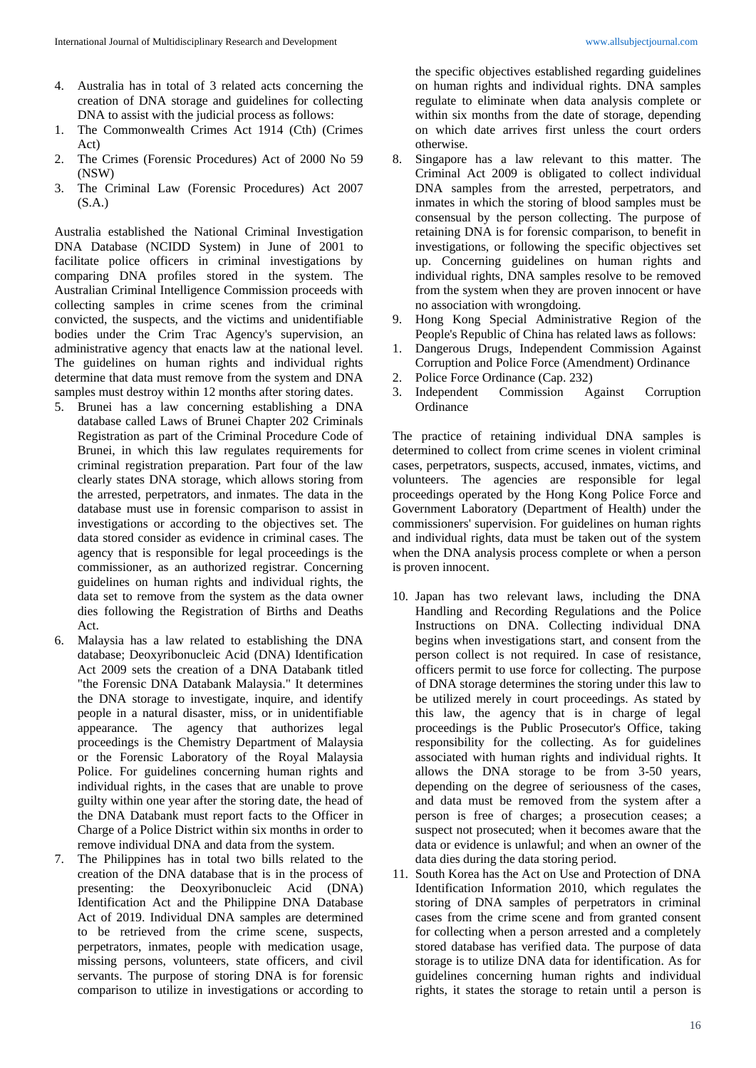- 4. Australia has in total of 3 related acts concerning the creation of DNA storage and guidelines for collecting DNA to assist with the judicial process as follows:
- 1. The Commonwealth Crimes Act 1914 (Cth) (Crimes Act)
- 2. The Crimes (Forensic Procedures) Act of 2000 No 59 (NSW)
- 3. The Criminal Law (Forensic Procedures) Act 2007 (S.A.)

Australia established the National Criminal Investigation DNA Database (NCIDD System) in June of 2001 to facilitate police officers in criminal investigations by comparing DNA profiles stored in the system. The Australian Criminal Intelligence Commission proceeds with collecting samples in crime scenes from the criminal convicted, the suspects, and the victims and unidentifiable bodies under the Crim Trac Agency's supervision, an administrative agency that enacts law at the national level. The guidelines on human rights and individual rights determine that data must remove from the system and DNA samples must destroy within 12 months after storing dates.

- 5. Brunei has a law concerning establishing a DNA database called Laws of Brunei Chapter 202 Criminals Registration as part of the Criminal Procedure Code of Brunei, in which this law regulates requirements for criminal registration preparation. Part four of the law clearly states DNA storage, which allows storing from the arrested, perpetrators, and inmates. The data in the database must use in forensic comparison to assist in investigations or according to the objectives set. The data stored consider as evidence in criminal cases. The agency that is responsible for legal proceedings is the commissioner, as an authorized registrar. Concerning guidelines on human rights and individual rights, the data set to remove from the system as the data owner dies following the Registration of Births and Deaths Act.
- 6. Malaysia has a law related to establishing the DNA database; Deoxyribonucleic Acid (DNA) Identification Act 2009 sets the creation of a DNA Databank titled "the Forensic DNA Databank Malaysia." It determines the DNA storage to investigate, inquire, and identify people in a natural disaster, miss, or in unidentifiable appearance. The agency that authorizes legal proceedings is the Chemistry Department of Malaysia or the Forensic Laboratory of the Royal Malaysia Police. For guidelines concerning human rights and individual rights, in the cases that are unable to prove guilty within one year after the storing date, the head of the DNA Databank must report facts to the Officer in Charge of a Police District within six months in order to remove individual DNA and data from the system.
- 7. The Philippines has in total two bills related to the creation of the DNA database that is in the process of presenting: the Deoxyribonucleic Acid (DNA) Identification Act and the Philippine DNA Database Act of 2019. Individual DNA samples are determined to be retrieved from the crime scene, suspects, perpetrators, inmates, people with medication usage, missing persons, volunteers, state officers, and civil servants. The purpose of storing DNA is for forensic comparison to utilize in investigations or according to

the specific objectives established regarding guidelines on human rights and individual rights. DNA samples regulate to eliminate when data analysis complete or within six months from the date of storage, depending on which date arrives first unless the court orders otherwise.

- 8. Singapore has a law relevant to this matter. The Criminal Act 2009 is obligated to collect individual DNA samples from the arrested, perpetrators, and inmates in which the storing of blood samples must be consensual by the person collecting. The purpose of retaining DNA is for forensic comparison, to benefit in investigations, or following the specific objectives set up. Concerning guidelines on human rights and individual rights, DNA samples resolve to be removed from the system when they are proven innocent or have no association with wrongdoing.
- 9. Hong Kong Special Administrative Region of the People's Republic of China has related laws as follows:
- 1. Dangerous Drugs, Independent Commission Against Corruption and Police Force (Amendment) Ordinance
- 2. Police Force Ordinance (Cap. 232)
- 3. Independent Commission Against Corruption **Ordinance**

The practice of retaining individual DNA samples is determined to collect from crime scenes in violent criminal cases, perpetrators, suspects, accused, inmates, victims, and volunteers. The agencies are responsible for legal proceedings operated by the Hong Kong Police Force and Government Laboratory (Department of Health) under the commissioners' supervision. For guidelines on human rights and individual rights, data must be taken out of the system when the DNA analysis process complete or when a person is proven innocent.

- 10. Japan has two relevant laws, including the DNA Handling and Recording Regulations and the Police Instructions on DNA. Collecting individual DNA begins when investigations start, and consent from the person collect is not required. In case of resistance, officers permit to use force for collecting. The purpose of DNA storage determines the storing under this law to be utilized merely in court proceedings. As stated by this law, the agency that is in charge of legal proceedings is the Public Prosecutor's Office, taking responsibility for the collecting. As for guidelines associated with human rights and individual rights. It allows the DNA storage to be from 3-50 years, depending on the degree of seriousness of the cases, and data must be removed from the system after a person is free of charges; a prosecution ceases; a suspect not prosecuted; when it becomes aware that the data or evidence is unlawful; and when an owner of the data dies during the data storing period.
- 11. South Korea has the Act on Use and Protection of DNA Identification Information 2010, which regulates the storing of DNA samples of perpetrators in criminal cases from the crime scene and from granted consent for collecting when a person arrested and a completely stored database has verified data. The purpose of data storage is to utilize DNA data for identification. As for guidelines concerning human rights and individual rights, it states the storage to retain until a person is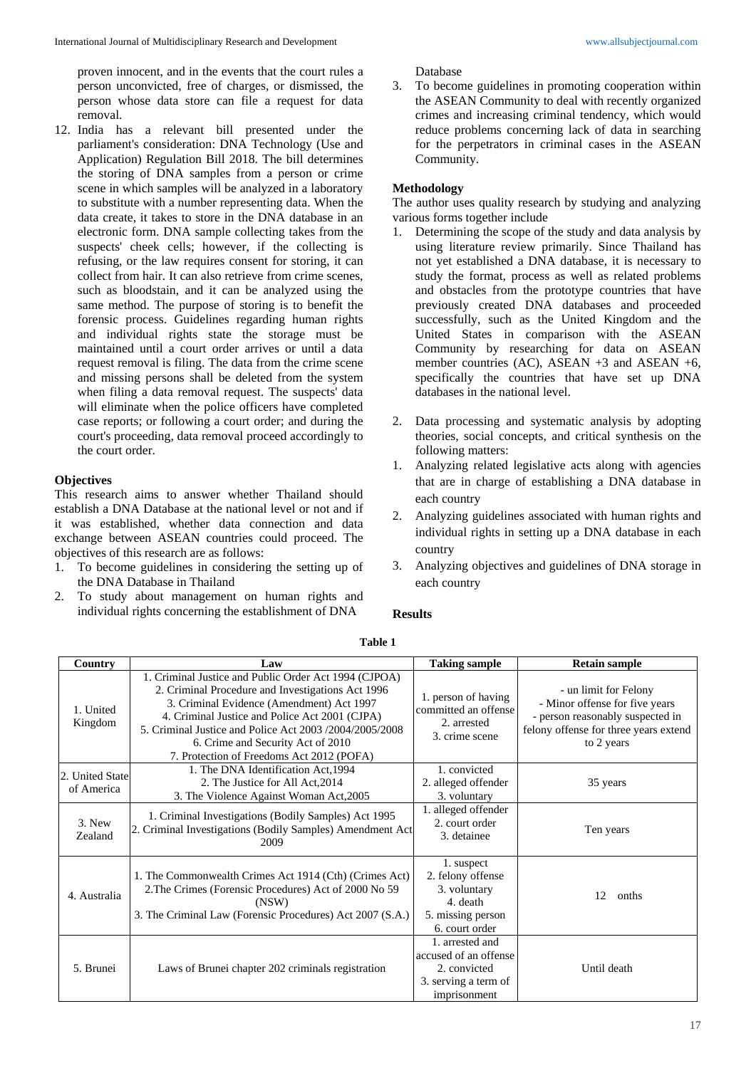proven innocent, and in the events that the court rules a person unconvicted, free of charges, or dismissed, the person whose data store can file a request for data removal.

12. India has a relevant bill presented under the parliament's consideration: DNA Technology (Use and Application) Regulation Bill 2018. The bill determines the storing of DNA samples from a person or crime scene in which samples will be analyzed in a laboratory to substitute with a number representing data. When the data create, it takes to store in the DNA database in an electronic form. DNA sample collecting takes from the suspects' cheek cells; however, if the collecting is refusing, or the law requires consent for storing, it can collect from hair. It can also retrieve from crime scenes, such as bloodstain, and it can be analyzed using the same method. The purpose of storing is to benefit the forensic process. Guidelines regarding human rights and individual rights state the storage must be maintained until a court order arrives or until a data request removal is filing. The data from the crime scene and missing persons shall be deleted from the system when filing a data removal request. The suspects' data will eliminate when the police officers have completed case reports; or following a court order; and during the court's proceeding, data removal proceed accordingly to the court order.

#### **Objectives**

This research aims to answer whether Thailand should establish a DNA Database at the national level or not and if it was established, whether data connection and data exchange between ASEAN countries could proceed. The objectives of this research are as follows:

- 1. To become guidelines in considering the setting up of the DNA Database in Thailand
- 2. To study about management on human rights and individual rights concerning the establishment of DNA

Database

3. To become guidelines in promoting cooperation within the ASEAN Community to deal with recently organized crimes and increasing criminal tendency, which would reduce problems concerning lack of data in searching for the perpetrators in criminal cases in the ASEAN Community.

## **Methodology**

The author uses quality research by studying and analyzing various forms together include

- 1. Determining the scope of the study and data analysis by using literature review primarily. Since Thailand has not yet established a DNA database, it is necessary to study the format, process as well as related problems and obstacles from the prototype countries that have previously created DNA databases and proceeded successfully, such as the United Kingdom and the United States in comparison with the ASEAN Community by researching for data on ASEAN member countries (AC), ASEAN +3 and ASEAN +6, specifically the countries that have set up DNA databases in the national level.
- 2. Data processing and systematic analysis by adopting theories, social concepts, and critical synthesis on the following matters:
- 1. Analyzing related legislative acts along with agencies that are in charge of establishing a DNA database in each country
- 2. Analyzing guidelines associated with human rights and individual rights in setting up a DNA database in each country
- 3. Analyzing objectives and guidelines of DNA storage in each country

#### **Results**

| Country                       | Law                                                                                                                                                                                                                                                                                                                                                    | <b>Taking sample</b>                                                                               | <b>Retain sample</b>                                                                                                                               |
|-------------------------------|--------------------------------------------------------------------------------------------------------------------------------------------------------------------------------------------------------------------------------------------------------------------------------------------------------------------------------------------------------|----------------------------------------------------------------------------------------------------|----------------------------------------------------------------------------------------------------------------------------------------------------|
| 1. United<br>Kingdom          | 1. Criminal Justice and Public Order Act 1994 (CJPOA)<br>2. Criminal Procedure and Investigations Act 1996<br>3. Criminal Evidence (Amendment) Act 1997<br>4. Criminal Justice and Police Act 2001 (CJPA)<br>5. Criminal Justice and Police Act 2003 /2004/2005/2008<br>6. Crime and Security Act of 2010<br>7. Protection of Freedoms Act 2012 (POFA) | 1. person of having<br>committed an offense<br>2. arrested<br>3. crime scene                       | - un limit for Felony<br>- Minor offense for five years<br>- person reasonably suspected in<br>felony offense for three years extend<br>to 2 years |
| 2. United State<br>of America | 1. The DNA Identification Act, 1994<br>2. The Justice for All Act, 2014<br>3. The Violence Against Woman Act, 2005                                                                                                                                                                                                                                     | 1. convicted<br>2. alleged offender<br>3. voluntary                                                | 35 years                                                                                                                                           |
| $3.$ New<br>Zealand           | 1. Criminal Investigations (Bodily Samples) Act 1995<br>2. Criminal Investigations (Bodily Samples) Amendment Act<br>2009                                                                                                                                                                                                                              | 1. alleged offender<br>2. court order<br>3. detainee                                               | Ten years                                                                                                                                          |
| 4. Australia                  | 1. The Commonwealth Crimes Act 1914 (Cth) (Crimes Act)<br>2. The Crimes (Forensic Procedures) Act of 2000 No 59<br>(NSW)<br>3. The Criminal Law (Forensic Procedures) Act 2007 (S.A.)                                                                                                                                                                  | 1. suspect<br>2. felony offense<br>3. voluntary<br>4. death<br>5. missing person<br>6. court order | 12<br>onths                                                                                                                                        |
| 5. Brunei                     | Laws of Brunei chapter 202 criminals registration                                                                                                                                                                                                                                                                                                      | 1. arrested and<br>accused of an offense<br>2. convicted<br>3. serving a term of<br>imprisonment   | Until death                                                                                                                                        |

**Table 1**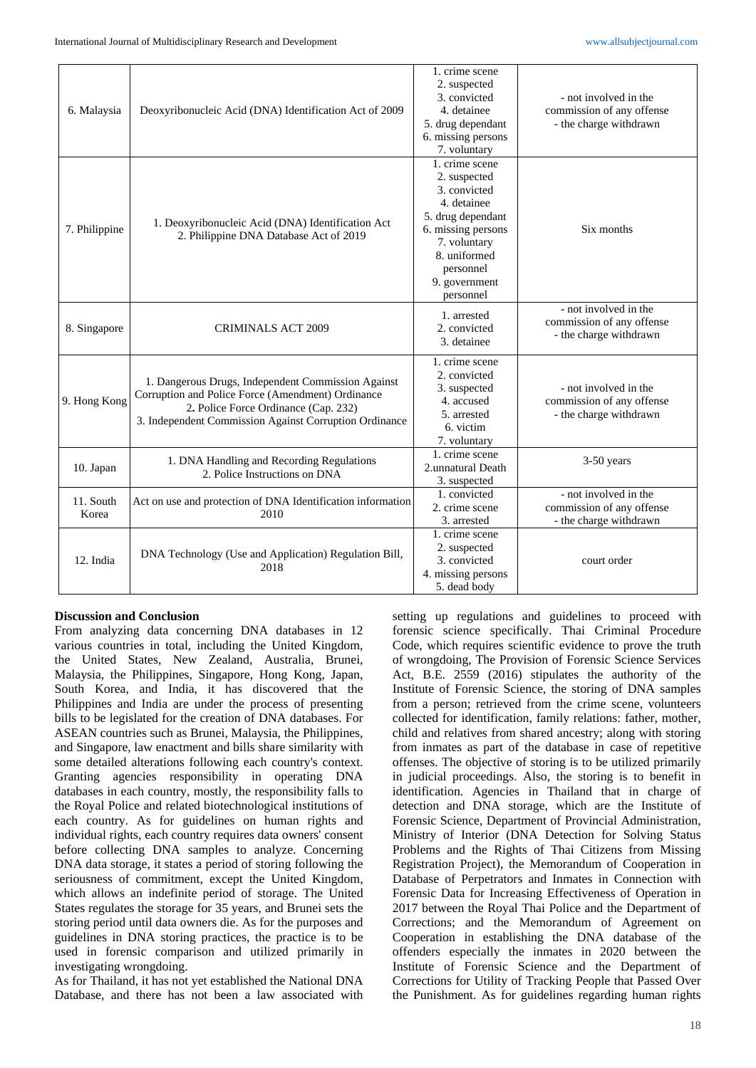| 6. Malaysia        | Deoxyribonucleic Acid (DNA) Identification Act of 2009                                                                                                                                                    | 1. crime scene<br>2. suspected<br>3. convicted<br>4. detainee<br>5. drug dependant<br>6. missing persons<br>7. voluntary                                                            | - not involved in the<br>commission of any offense<br>- the charge withdrawn |
|--------------------|-----------------------------------------------------------------------------------------------------------------------------------------------------------------------------------------------------------|-------------------------------------------------------------------------------------------------------------------------------------------------------------------------------------|------------------------------------------------------------------------------|
| 7. Philippine      | 1. Deoxyribonucleic Acid (DNA) Identification Act<br>2. Philippine DNA Database Act of 2019                                                                                                               | 1. crime scene<br>2. suspected<br>3. convicted<br>4. detainee<br>5. drug dependant<br>6. missing persons<br>7. voluntary<br>8. uniformed<br>personnel<br>9. government<br>personnel | Six months                                                                   |
| 8. Singapore       | <b>CRIMINALS ACT 2009</b>                                                                                                                                                                                 | 1. arrested<br>2. convicted<br>3. detainee                                                                                                                                          | - not involved in the<br>commission of any offense<br>- the charge withdrawn |
| 9. Hong Kong       | 1. Dangerous Drugs, Independent Commission Against<br>Corruption and Police Force (Amendment) Ordinance<br>2. Police Force Ordinance (Cap. 232)<br>3. Independent Commission Against Corruption Ordinance | 1. crime scene<br>2. convicted<br>3. suspected<br>4. accused<br>5. arrested<br>6. victim<br>7. voluntary                                                                            | - not involved in the<br>commission of any offense<br>- the charge withdrawn |
| 10. Japan          | 1. DNA Handling and Recording Regulations<br>2. Police Instructions on DNA                                                                                                                                | 1. crime scene<br>2.unnatural Death<br>3. suspected                                                                                                                                 | $3-50$ years                                                                 |
| 11. South<br>Korea | Act on use and protection of DNA Identification information<br>2010                                                                                                                                       | 1. convicted<br>2. crime scene<br>3. arrested                                                                                                                                       | - not involved in the<br>commission of any offense<br>- the charge withdrawn |
| 12. India          | DNA Technology (Use and Application) Regulation Bill,<br>2018                                                                                                                                             | 1. crime scene<br>2. suspected<br>3. convicted<br>4. missing persons<br>5. dead body                                                                                                | court order                                                                  |

#### **Discussion and Conclusion**

From analyzing data concerning DNA databases in 12 various countries in total, including the United Kingdom, the United States, New Zealand, Australia, Brunei, Malaysia, the Philippines, Singapore, Hong Kong, Japan, South Korea, and India, it has discovered that the Philippines and India are under the process of presenting bills to be legislated for the creation of DNA databases. For ASEAN countries such as Brunei, Malaysia, the Philippines, and Singapore, law enactment and bills share similarity with some detailed alterations following each country's context. Granting agencies responsibility in operating DNA databases in each country, mostly, the responsibility falls to the Royal Police and related biotechnological institutions of each country. As for guidelines on human rights and individual rights, each country requires data owners' consent before collecting DNA samples to analyze. Concerning DNA data storage, it states a period of storing following the seriousness of commitment, except the United Kingdom, which allows an indefinite period of storage. The United States regulates the storage for 35 years, and Brunei sets the storing period until data owners die. As for the purposes and guidelines in DNA storing practices, the practice is to be used in forensic comparison and utilized primarily in investigating wrongdoing.

As for Thailand, it has not yet established the National DNA Database, and there has not been a law associated with

setting up regulations and guidelines to proceed with forensic science specifically. Thai Criminal Procedure Code, which requires scientific evidence to prove the truth of wrongdoing, The Provision of Forensic Science Services Act, B.E. 2559 (2016) stipulates the authority of the Institute of Forensic Science, the storing of DNA samples from a person; retrieved from the crime scene, volunteers collected for identification, family relations: father, mother, child and relatives from shared ancestry; along with storing from inmates as part of the database in case of repetitive offenses. The objective of storing is to be utilized primarily in judicial proceedings. Also, the storing is to benefit in identification. Agencies in Thailand that in charge of detection and DNA storage, which are the Institute of Forensic Science, Department of Provincial Administration, Ministry of Interior (DNA Detection for Solving Status Problems and the Rights of Thai Citizens from Missing Registration Project), the Memorandum of Cooperation in Database of Perpetrators and Inmates in Connection with Forensic Data for Increasing Effectiveness of Operation in 2017 between the Royal Thai Police and the Department of Corrections; and the Memorandum of Agreement on Cooperation in establishing the DNA database of the offenders especially the inmates in 2020 between the Institute of Forensic Science and the Department of Corrections for Utility of Tracking People that Passed Over the Punishment. As for guidelines regarding human rights